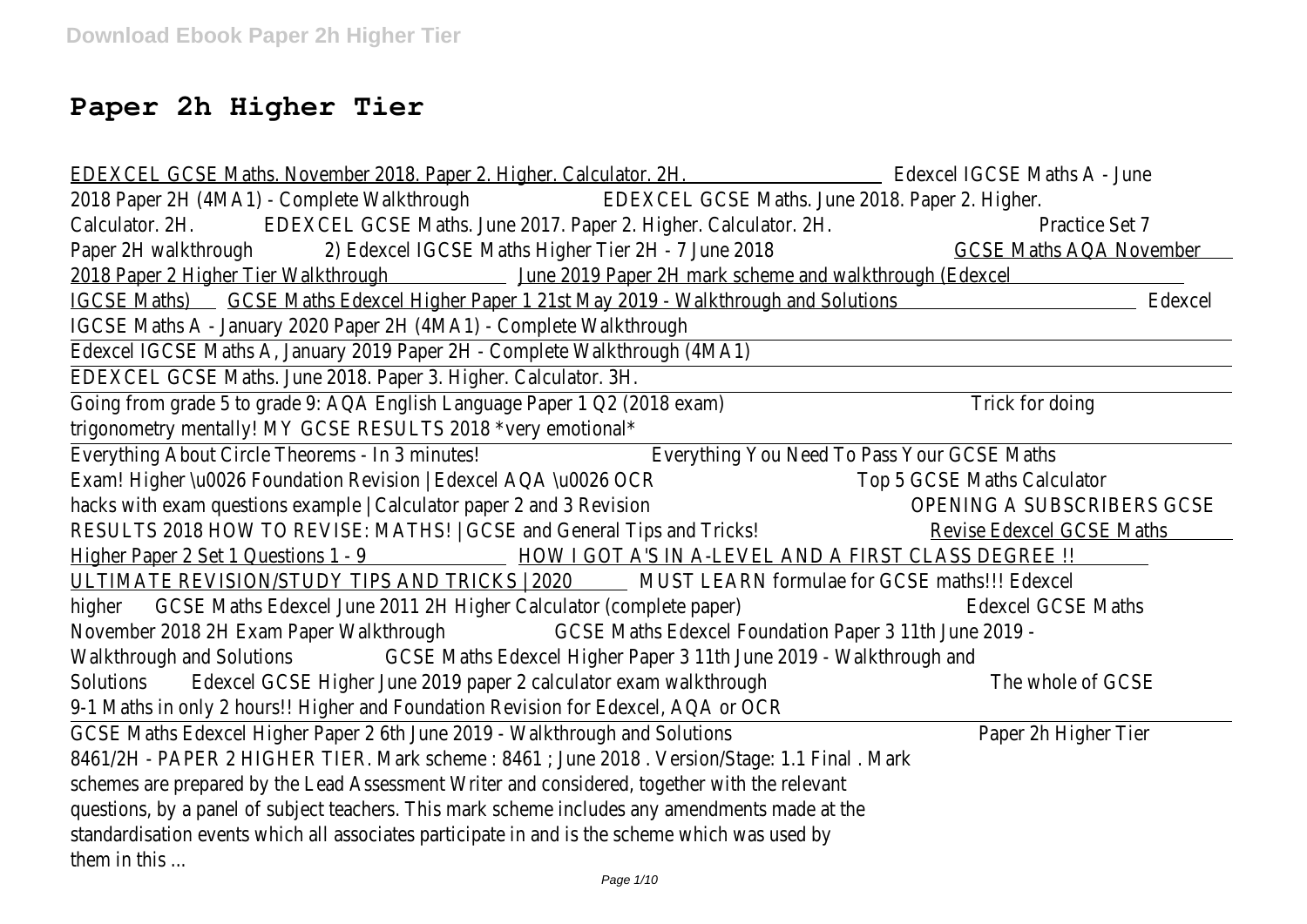# **Paper 2h Higher Tier**

EDEXCEL GCSE Maths. November 2018. Paper 2. Higher. Calculator. 2H. Edexcel IGCSE Maths A - June 2018 Paper 2H (4MA1) - Complete Walkthrough EDEXCEL GCSE Maths. June 2018. Paper 2. Higher. Calculator. 2H. **EDEXCEL GCSE Maths. June 2017. Paper 2. Higher. Calculator. 2H.** Practice Set 7 Paper 2H walkthrough 2) Edexcel IGCSE Maths Higher Tier 2H - 7 June 2018 GCSE Maths AQA November 2018 Paper 2 Higher Tier Walkthrough June 2019 Paper 2H mark scheme and walkthrough (Edexcel IGCSE Maths) GCSE Maths Edexcel Higher Paper 1 21st May 2019 - Walkthrough and Solutions Edexcel IGCSE Maths A - January 2020 Paper 2H (4MA1) - Complete Walkthrough Edexcel IGCSE Maths A, January 2019 Paper 2H - Complete Walkthrough (4MA1) EDEXCEL GCSE Maths. June 2018. Paper 3. Higher. Calculator. 3H. Going from grade 5 to grade 9: AQA English Language Paper 1 Q2 (2018 exam) Trick for doing trigonometry mentally! MY GCSE RESULTS 2018 \*very emotional\* Everything About Circle Theorems - In 3 minutes! Everything You Need To Pass Your GCSE Maths Exam! Higher \u0026 Foundation Revision | Edexcel AQA \u0026 OCR Top 5 GCSE Maths Calculator hacks with exam questions example | Calculator paper 2 and 3 Revision OPENING A SUBSCRIBERS GCSE RESULTS 2018 HOW TO REVISE: MATHS! | GCSE and General Tips and Tricks! Revise Edexcel GCSE Maths Higher Paper 2 Set 1 Questions 1 - 9 HOW I GOT A'S IN A-LEVEL AND A FIRST CLASS DEGREE !! ULTIMATE REVISION/STUDY TIPS AND TRICKS | 2020 MUST LEARN formulae for GCSE maths!!! Edexcel higher GCSE Maths Edexcel June 2011 2H Higher Calculator (complete paper) Edexcel GCSE Maths November 2018 2H Exam Paper Walkthrough GCSE Maths Edexcel Foundation Paper 3 11th June 2019 - Walkthrough and Solutions GCSE Maths Edexcel Higher Paper 3 11th June 2019 - Walkthrough and Solutions Edexcel GCSE Higher June 2019 paper 2 calculator exam walkthrough The whole of GCSE 9-1 Maths in only 2 hours!! Higher and Foundation Revision for Edexcel, AQA or OCR GCSE Maths Edexcel Higher Paper 2 6th June 2019 - Walkthrough and Solutions Paper 2h Higher Tier 8461/2H - PAPER 2 HIGHER TIER. Mark scheme : 8461 ; June 2018 . Version/Stage: 1.1 Final . Mark schemes are prepared by the Lead Assessment Writer and considered, together with the relevant questions, by a panel of subject teachers. This mark scheme includes any amendments made at the standardisation events which all associates participate in and is the scheme which was used by them in this ... Page 1/10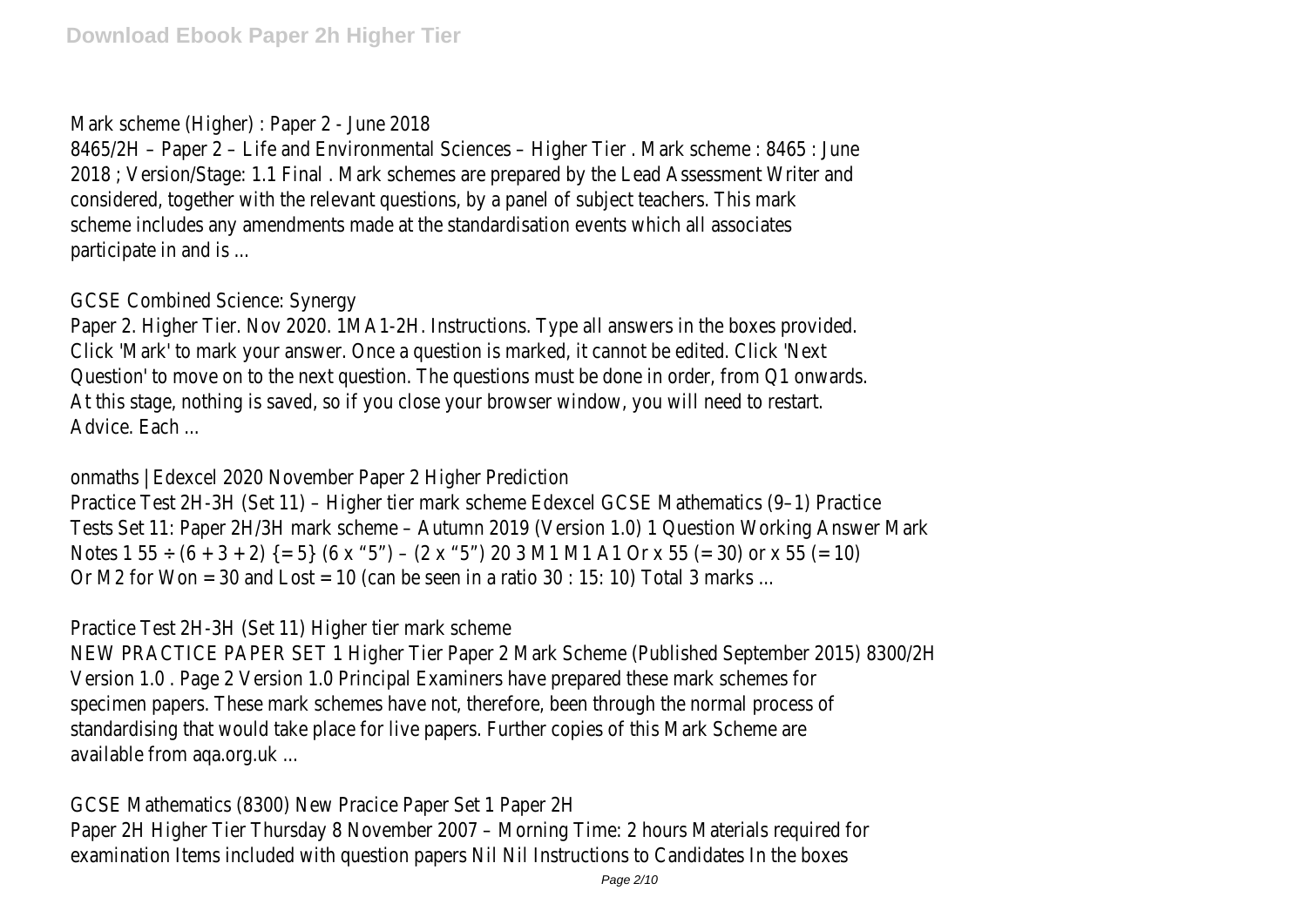## Mark scheme (Higher) : Paper 2 - June 2018

8465/2H – Paper 2 – Life and Environmental Sciences – Higher Tier . Mark scheme : 8465 : June 2018 ; Version/Stage: 1.1 Final . Mark schemes are prepared by the Lead Assessment Writer and considered, together with the relevant questions, by a panel of subject teachers. This mark scheme includes any amendments made at the standardisation events which all associates participate in and is ...

## GCSE Combined Science: Synergy

Paper 2. Higher Tier. Nov 2020. 1MA1-2H. Instructions. Type all answers in the boxes provided. Click 'Mark' to mark your answer. Once a question is marked, it cannot be edited. Click 'Next Question' to move on to the next question. The questions must be done in order, from Q1 onwards. At this stage, nothing is saved, so if you close your browser window, you will need to restart. Advice. Each ...

onmaths | Edexcel 2020 November Paper 2 Higher Prediction

Practice Test 2H-3H (Set 11) – Higher tier mark scheme Edexcel GCSE Mathematics (9–1) Practice Tests Set 11: Paper 2H/3H mark scheme – Autumn 2019 (Version 1.0) 1 Question Working Answer Mark Notes 1 55  $\div$  (6 + 3 + 2) {= 5} (6 x "5") – (2 x "5") 20 3 M1 M1 A1 Or x 55 (= 30) or x 55 (= 10) Or M2 for Won = 30 and Lost = 10 (can be seen in a ratio 30 : 15: 10) Total 3 marks ...

Practice Test 2H-3H (Set 11) Higher tier mark scheme

NEW PRACTICE PAPER SET 1 Higher Tier Paper 2 Mark Scheme (Published September 2015) 8300/2H Version 1.0 . Page 2 Version 1.0 Principal Examiners have prepared these mark schemes for specimen papers. These mark schemes have not, therefore, been through the normal process of standardising that would take place for live papers. Further copies of this Mark Scheme are available from aqa.org.uk ...

GCSE Mathematics (8300) New Pracice Paper Set 1 Paper 2H Paper 2H Higher Tier Thursday 8 November 2007 – Morning Time: 2 hours Materials required for examination Items included with question papers Nil Nil Instructions to Candidates In the boxes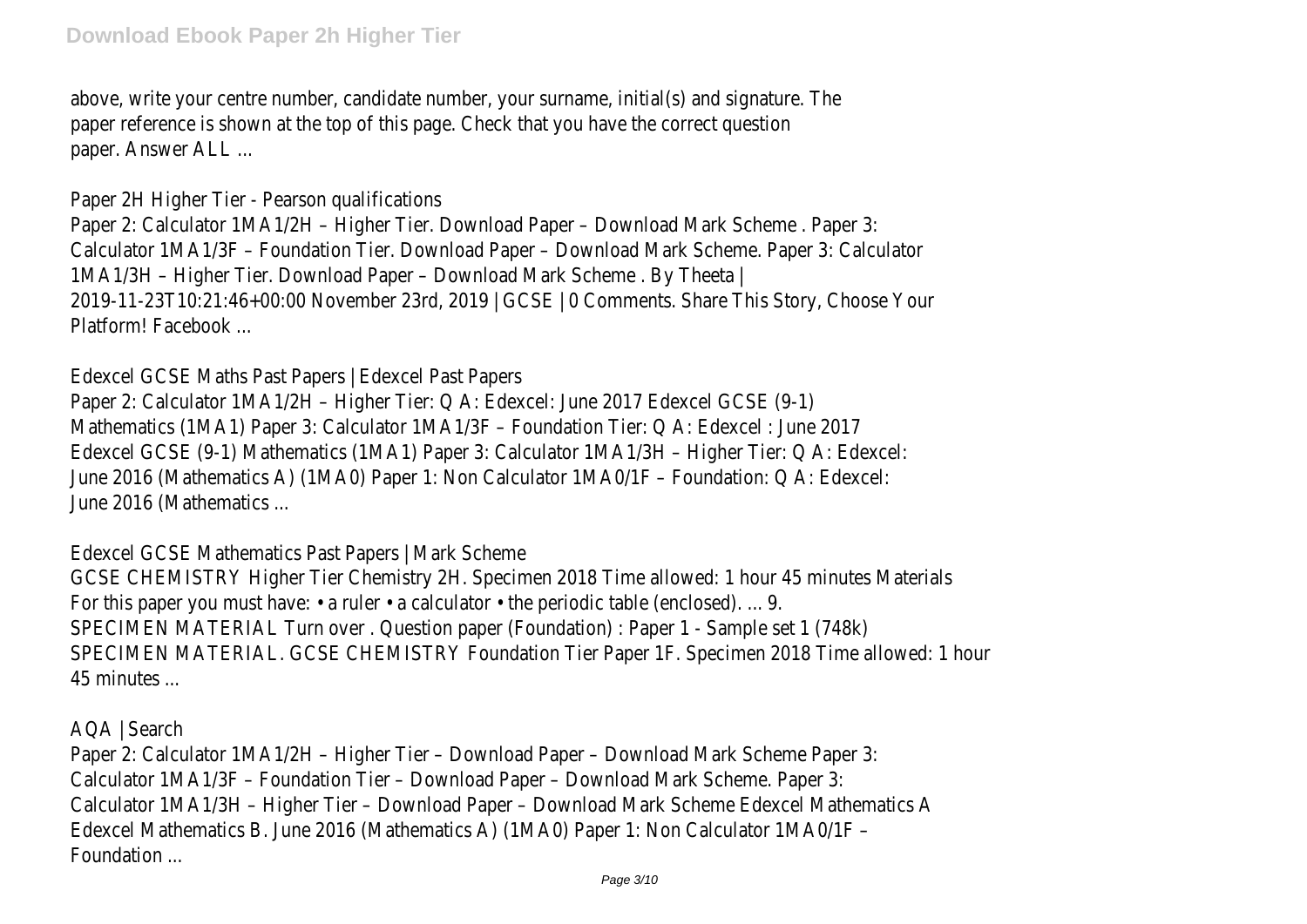above, write your centre number, candidate number, your surname, initial(s) and signature. The paper reference is shown at the top of this page. Check that you have the correct question paper. Answer ALL ...

Paper 2H Higher Tier - Pearson qualifications

Paper 2: Calculator 1MA1/2H – Higher Tier. Download Paper – Download Mark Scheme . Paper 3: Calculator 1MA1/3F – Foundation Tier. Download Paper – Download Mark Scheme. Paper 3: Calculator 1MA1/3H – Higher Tier. Download Paper – Download Mark Scheme . By Theeta | 2019-11-23T10:21:46+00:00 November 23rd, 2019 | GCSE | 0 Comments. Share This Story, Choose Your Platform! Facebook ...

Edexcel GCSE Maths Past Papers | Edexcel Past Papers

Paper 2: Calculator 1MA1/2H – Higher Tier: Q A: Edexcel: June 2017 Edexcel GCSE (9-1) Mathematics (1MA1) Paper 3: Calculator 1MA1/3F – Foundation Tier: Q A: Edexcel : June 2017 Edexcel GCSE (9-1) Mathematics (1MA1) Paper 3: Calculator 1MA1/3H – Higher Tier: Q A: Edexcel: June 2016 (Mathematics A) (1MA0) Paper 1: Non Calculator 1MA0/1F – Foundation: Q A: Edexcel: June 2016 (Mathematics ...

Edexcel GCSE Mathematics Past Papers | Mark Scheme

GCSE CHEMISTRY Higher Tier Chemistry 2H. Specimen 2018 Time allowed: 1 hour 45 minutes Materials For this paper you must have:  $\cdot$  a ruler  $\cdot$  a calculator  $\cdot$  the periodic table (enclosed). ... 9. SPECIMEN MATERIAL Turn over . Question paper (Foundation) : Paper 1 - Sample set 1 (748k) SPECIMEN MATERIAL. GCSE CHEMISTRY Foundation Tier Paper 1F. Specimen 2018 Time allowed: 1 hour 45 minutes ...

AQA | Search

Paper 2: Calculator 1MA1/2H – Higher Tier – Download Paper – Download Mark Scheme Paper 3: Calculator 1MA1/3F – Foundation Tier – Download Paper – Download Mark Scheme. Paper 3: Calculator 1MA1/3H – Higher Tier – Download Paper – Download Mark Scheme Edexcel Mathematics A Edexcel Mathematics B. June 2016 (Mathematics A) (1MA0) Paper 1: Non Calculator 1MA0/1F – Foundation ...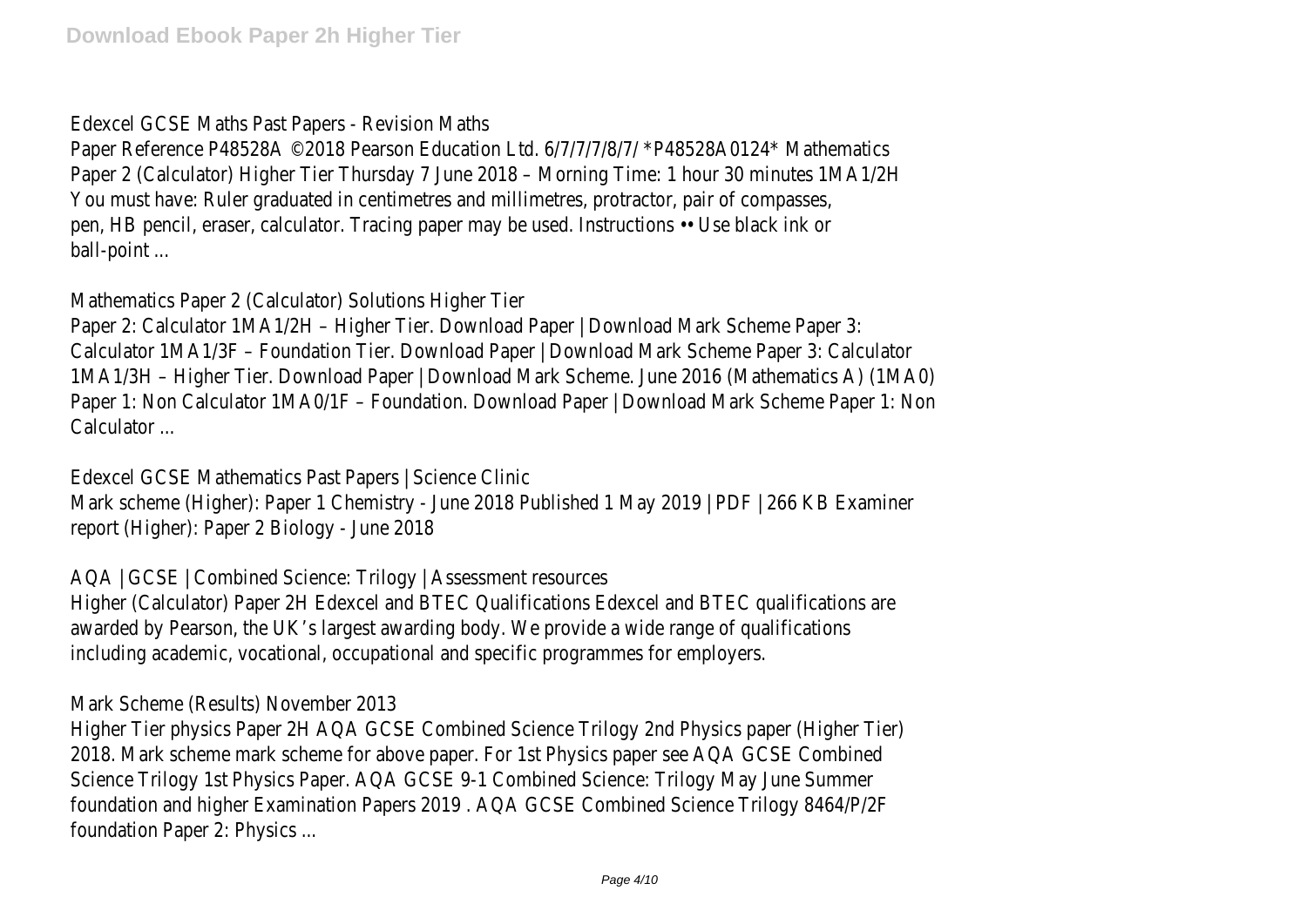Edexcel GCSE Maths Past Papers - Revision Maths

Paper Reference P48528A ©2018 Pearson Education Ltd. 6/7/7/7/8/7/ \*P48528A0124\* Mathematics Paper 2 (Calculator) Higher Tier Thursday 7 June 2018 – Morning Time: 1 hour 30 minutes 1MA1/2H You must have: Ruler graduated in centimetres and millimetres, protractor, pair of compasses, pen, HB pencil, eraser, calculator. Tracing paper may be used. Instructions •• Use black ink or ball-point ...

Mathematics Paper 2 (Calculator) Solutions Higher Tier

Paper 2: Calculator 1MA1/2H – Higher Tier. Download Paper | Download Mark Scheme Paper 3: Calculator 1MA1/3F – Foundation Tier. Download Paper | Download Mark Scheme Paper 3: Calculator 1MA1/3H – Higher Tier. Download Paper | Download Mark Scheme. June 2016 (Mathematics A) (1MA0) Paper 1: Non Calculator 1MA0/1F – Foundation. Download Paper | Download Mark Scheme Paper 1: Non Calculator ...

Edexcel GCSE Mathematics Past Papers | Science Clinic Mark scheme (Higher): Paper 1 Chemistry - June 2018 Published 1 May 2019 | PDF | 266 KB Examiner report (Higher): Paper 2 Biology - June 2018

AQA | GCSE | Combined Science: Trilogy | Assessment resources Higher (Calculator) Paper 2H Edexcel and BTEC Qualifications Edexcel and BTEC qualifications are awarded by Pearson, the UK's largest awarding body. We provide a wide range of qualifications including academic, vocational, occupational and specific programmes for employers.

Mark Scheme (Results) November 2013

Higher Tier physics Paper 2H AQA GCSE Combined Science Trilogy 2nd Physics paper (Higher Tier) 2018. Mark scheme mark scheme for above paper. For 1st Physics paper see AQA GCSE Combined Science Trilogy 1st Physics Paper. AQA GCSE 9-1 Combined Science: Trilogy May June Summer foundation and higher Examination Papers 2019 . AQA GCSE Combined Science Trilogy 8464/P/2F foundation Paper 2: Physics ...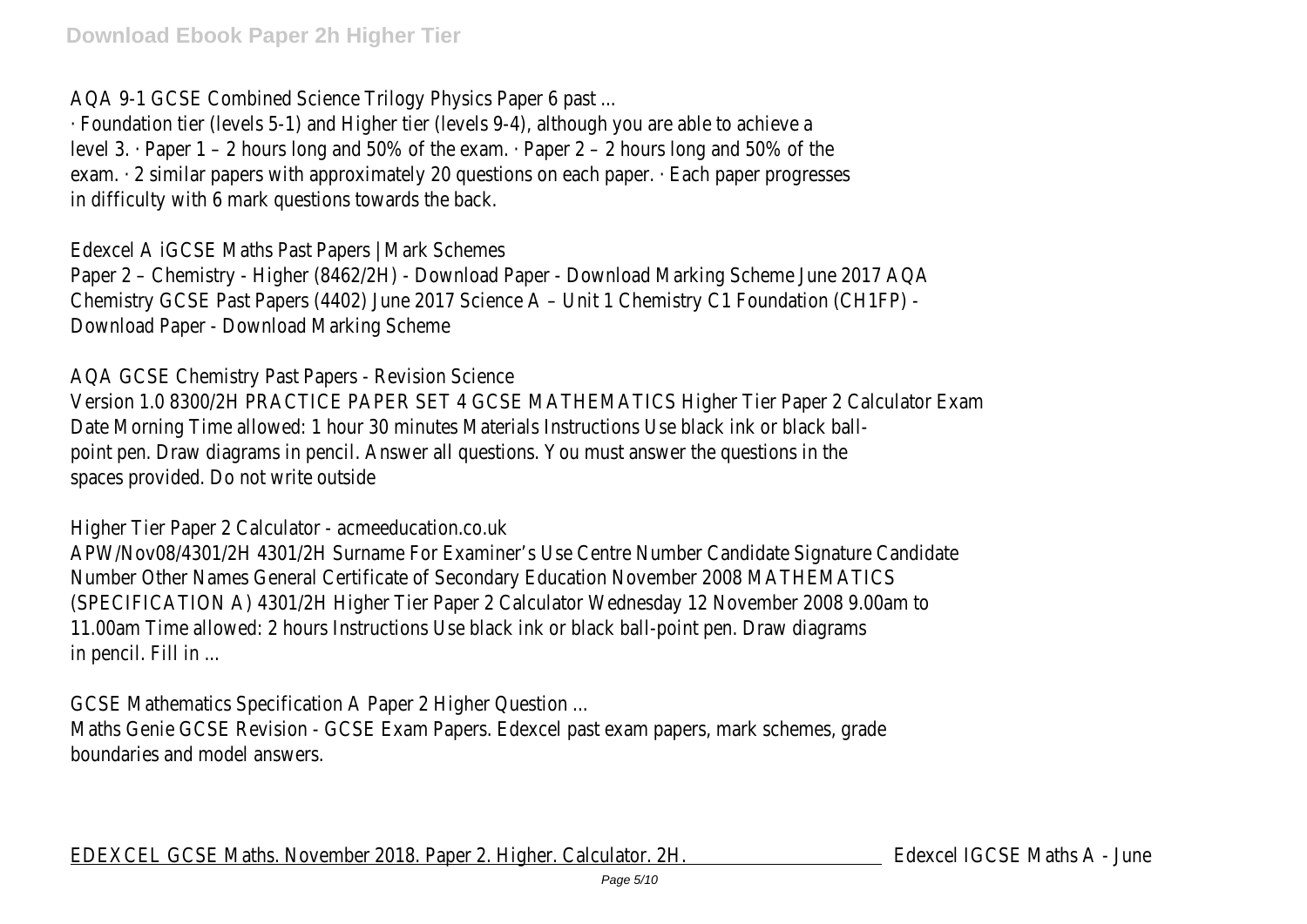AQA 9-1 GCSE Combined Science Trilogy Physics Paper 6 past ...

· Foundation tier (levels 5-1) and Higher tier (levels 9-4), although you are able to achieve a level 3. · Paper 1 – 2 hours long and 50% of the exam. · Paper 2 – 2 hours long and 50% of the exam. · 2 similar papers with approximately 20 questions on each paper. · Each paper progresses in difficulty with 6 mark questions towards the back.

# Edexcel A iGCSE Maths Past Papers | Mark Schemes

Paper 2 – Chemistry - Higher (8462/2H) - Download Paper - Download Marking Scheme June 2017 AQA Chemistry GCSE Past Papers (4402) June 2017 Science A – Unit 1 Chemistry C1 Foundation (CH1FP) - Download Paper - Download Marking Scheme

# AQA GCSE Chemistry Past Papers - Revision Science

Version 1.0 8300/2H PRACTICE PAPER SET 4 GCSE MATHEMATICS Higher Tier Paper 2 Calculator Exam Date Morning Time allowed: 1 hour 30 minutes Materials Instructions Use black ink or black ballpoint pen. Draw diagrams in pencil. Answer all questions. You must answer the questions in the spaces provided. Do not write outside

# Higher Tier Paper 2 Calculator - acmeeducation.co.uk

APW/Nov08/4301/2H 4301/2H Surname For Examiner's Use Centre Number Candidate Signature Candidate Number Other Names General Certificate of Secondary Education November 2008 MATHEMATICS (SPECIFICATION A) 4301/2H Higher Tier Paper 2 Calculator Wednesday 12 November 2008 9.00am to 11.00am Time allowed: 2 hours Instructions Use black ink or black ball-point pen. Draw diagrams in pencil. Fill in ...

GCSE Mathematics Specification A Paper 2 Higher Question ...

Maths Genie GCSE Revision - GCSE Exam Papers. Edexcel past exam papers, mark schemes, grade boundaries and model answers.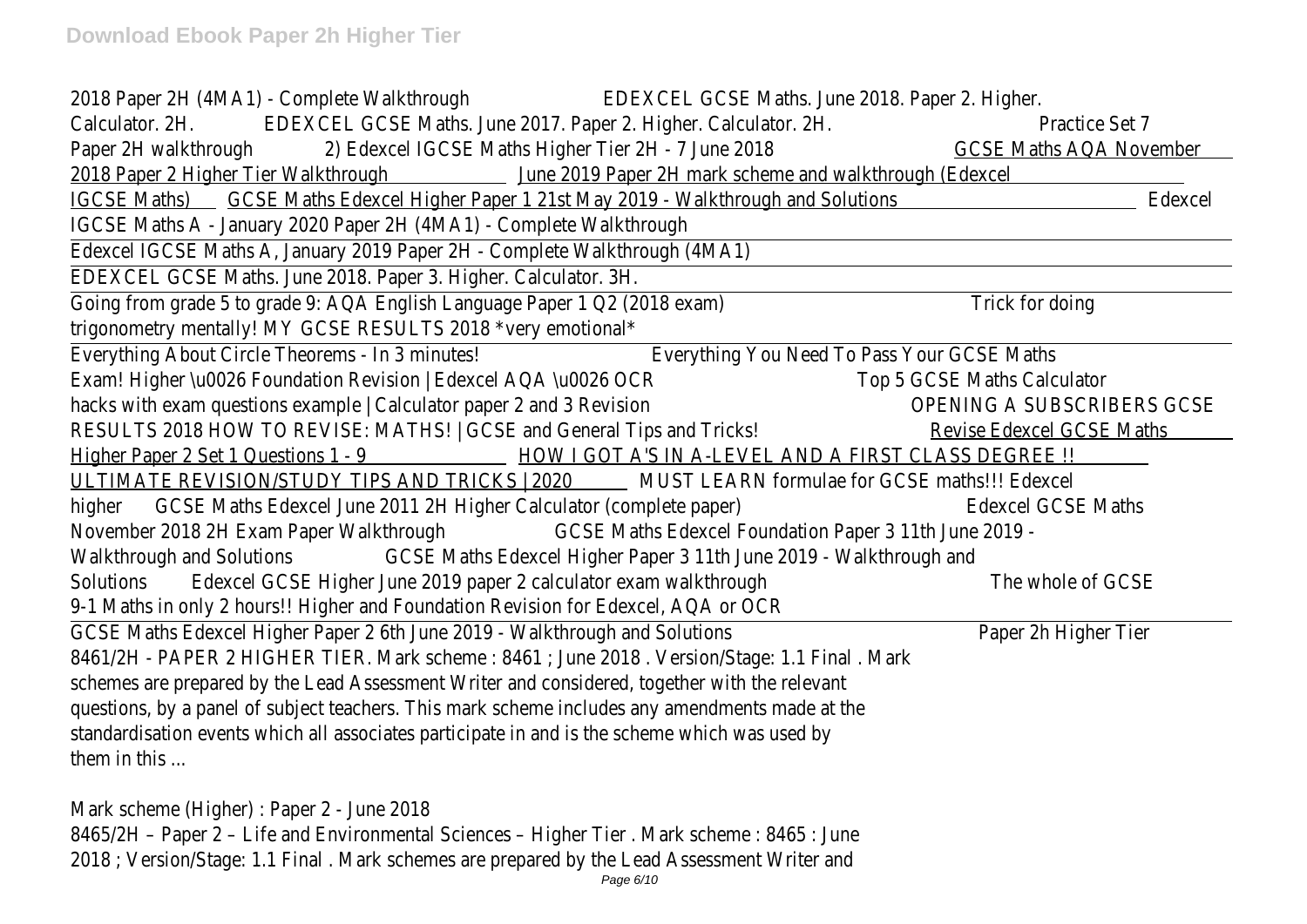| 2018 Paper 2H (4MA1) - Complete Walkthrough<br>EDEXCEL GCSE Maths. June 2018. Paper 2. Higher.    |                                  |
|---------------------------------------------------------------------------------------------------|----------------------------------|
| EDEXCEL GCSE Maths. June 2017. Paper 2. Higher. Calculator. 2H.<br>Calculator. 2H.                | Practice Set 7                   |
| Paper 2H walkthrough<br>2) Edexcel IGCSE Maths Higher Tier 2H - 7 June 2018                       | <b>GCSE Maths AQA November</b>   |
| 2018 Paper 2 Higher Tier Walkthrough June 2019 Paper 2H mark scheme and walkthrough (Edexcel      |                                  |
| IGCSE Maths) GCSE Maths Edexcel Higher Paper 1 21st May 2019 - Walkthrough and Solutions          | Edexcel                          |
| IGCSE Maths A - January 2020 Paper 2H (4MA1) - Complete Walkthrough                               |                                  |
| Edexcel IGCSE Maths A, January 2019 Paper 2H - Complete Walkthrough (4MA1)                        |                                  |
| EDEXCEL GCSE Maths. June 2018. Paper 3. Higher. Calculator. 3H.                                   |                                  |
| Going from grade 5 to grade 9: AQA English Language Paper 1 Q2 (2018 exam)                        | Trick for doing                  |
| trigonometry mentally! MY GCSE RESULTS 2018 *very emotional*                                      |                                  |
| Everything About Circle Theorems - In 3 minutes!<br>Everything You Need To Pass Your GCSE Maths   |                                  |
| Exam! Higher \u0026 Foundation Revision   Edexcel AQA \u0026 OCR<br>Top 5 GCSE Maths Calculator   |                                  |
| hacks with exam questions example   Calculator paper 2 and 3 Revision                             | OPENING A SUBSCRIBERS GCSE       |
| RESULTS 2018 HOW TO REVISE: MATHS!   GCSE and General Tips and Tricks!                            | <b>Revise Edexcel GCSE Maths</b> |
| Higher Paper 2 Set 1 Questions 1 - 9 HOW I GOT A'S IN A-LEVEL AND A FIRST CLASS DEGREE !!         |                                  |
| ULTIMATE REVISION/STUDY TIPS AND TRICKS   2020 MUST LEARN formulae for GCSE maths!!! Edexcel      |                                  |
| higher GCSE Maths Edexcel June 2011 2H Higher Calculator (complete paper)                         | <b>Edexcel GCSE Maths</b>        |
| November 2018 2H Exam Paper Walkthrough<br>GCSE Maths Edexcel Foundation Paper 3 11th June 2019 - |                                  |
| GCSE Maths Edexcel Higher Paper 3 11th June 2019 - Walkthrough and<br>Walkthrough and Solutions   |                                  |
| Edexcel GCSE Higher June 2019 paper 2 calculator exam walkthrough<br>Solutions                    | The whole of GCSE                |
| 9-1 Maths in only 2 hours!! Higher and Foundation Revision for Edexcel, AQA or OCR                |                                  |
| GCSE Maths Edexcel Higher Paper 2 6th June 2019 - Walkthrough and Solutions                       | Paper 2h Higher Tier             |
| 8461/2H - PAPER 2 HIGHER TIER. Mark scheme: 8461; June 2018. Version/Stage: 1.1 Final. Mark       |                                  |
| schemes are prepared by the Lead Assessment Writer and considered, together with the relevant     |                                  |
| questions, by a panel of subject teachers. This mark scheme includes any amendments made at the   |                                  |
| standardisation events which all associates participate in and is the scheme which was used by    |                                  |
| them in this                                                                                      |                                  |
| Mark scheme (Higher) : Paper 2 - June 2018                                                        |                                  |
| 8465/2H - Paper 2 - Life and Environmental Sciences - Higher Tier. Mark scheme: 8465: June        |                                  |
| 2018; Version/Stage: 1.1 Final. Mark schemes are prepared by the Lead Assessment Writer and       |                                  |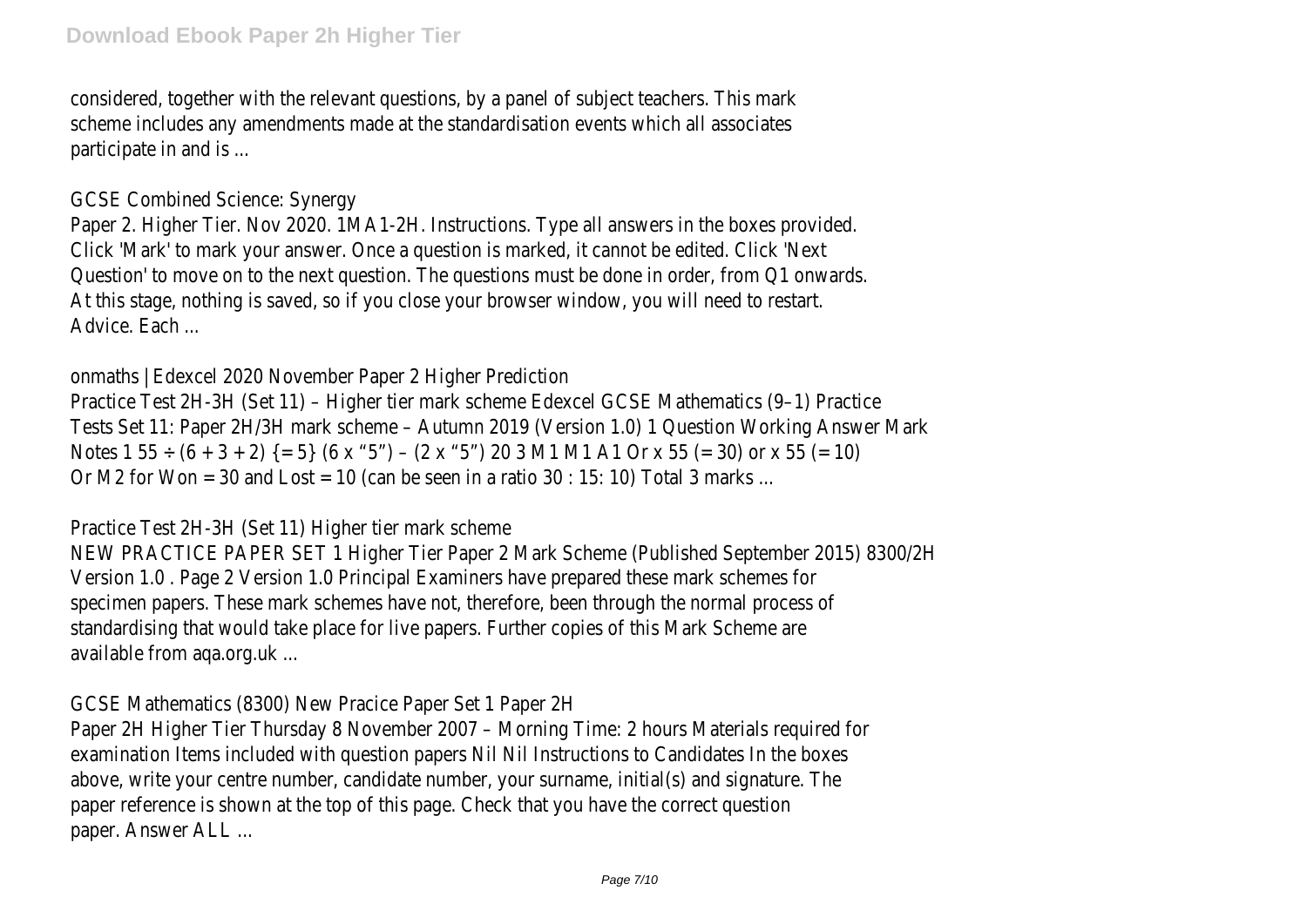considered, together with the relevant questions, by a panel of subject teachers. This mark scheme includes any amendments made at the standardisation events which all associates participate in and is ...

## GCSE Combined Science: Synergy

Paper 2. Higher Tier. Nov 2020. 1MA1-2H. Instructions. Type all answers in the boxes provided. Click 'Mark' to mark your answer. Once a question is marked, it cannot be edited. Click 'Next Question' to move on to the next question. The questions must be done in order, from Q1 onwards. At this stage, nothing is saved, so if you close your browser window, you will need to restart. Advice. Each ...

onmaths | Edexcel 2020 November Paper 2 Higher Prediction

Practice Test 2H-3H (Set 11) – Higher tier mark scheme Edexcel GCSE Mathematics (9–1) Practice Tests Set 11: Paper 2H/3H mark scheme – Autumn 2019 (Version 1.0) 1 Question Working Answer Mark Notes 1 55  $\div$  (6 + 3 + 2) {= 5} (6 x "5") – (2 x "5") 20 3 M1 M1 A1 Or x 55 (= 30) or x 55 (= 10) Or M2 for Won = 30 and Lost = 10 (can be seen in a ratio 30 : 15: 10) Total 3 marks ...

## Practice Test 2H-3H (Set 11) Higher tier mark scheme

NEW PRACTICE PAPER SET 1 Higher Tier Paper 2 Mark Scheme (Published September 2015) 8300/2H Version 1.0 . Page 2 Version 1.0 Principal Examiners have prepared these mark schemes for specimen papers. These mark schemes have not, therefore, been through the normal process of standardising that would take place for live papers. Further copies of this Mark Scheme are available from aqa.org.uk ...

# GCSE Mathematics (8300) New Pracice Paper Set 1 Paper 2H

Paper 2H Higher Tier Thursday 8 November 2007 – Morning Time: 2 hours Materials required for examination Items included with question papers Nil Nil Instructions to Candidates In the boxes above, write your centre number, candidate number, your surname, initial(s) and signature. The paper reference is shown at the top of this page. Check that you have the correct question paper. Answer ALL ...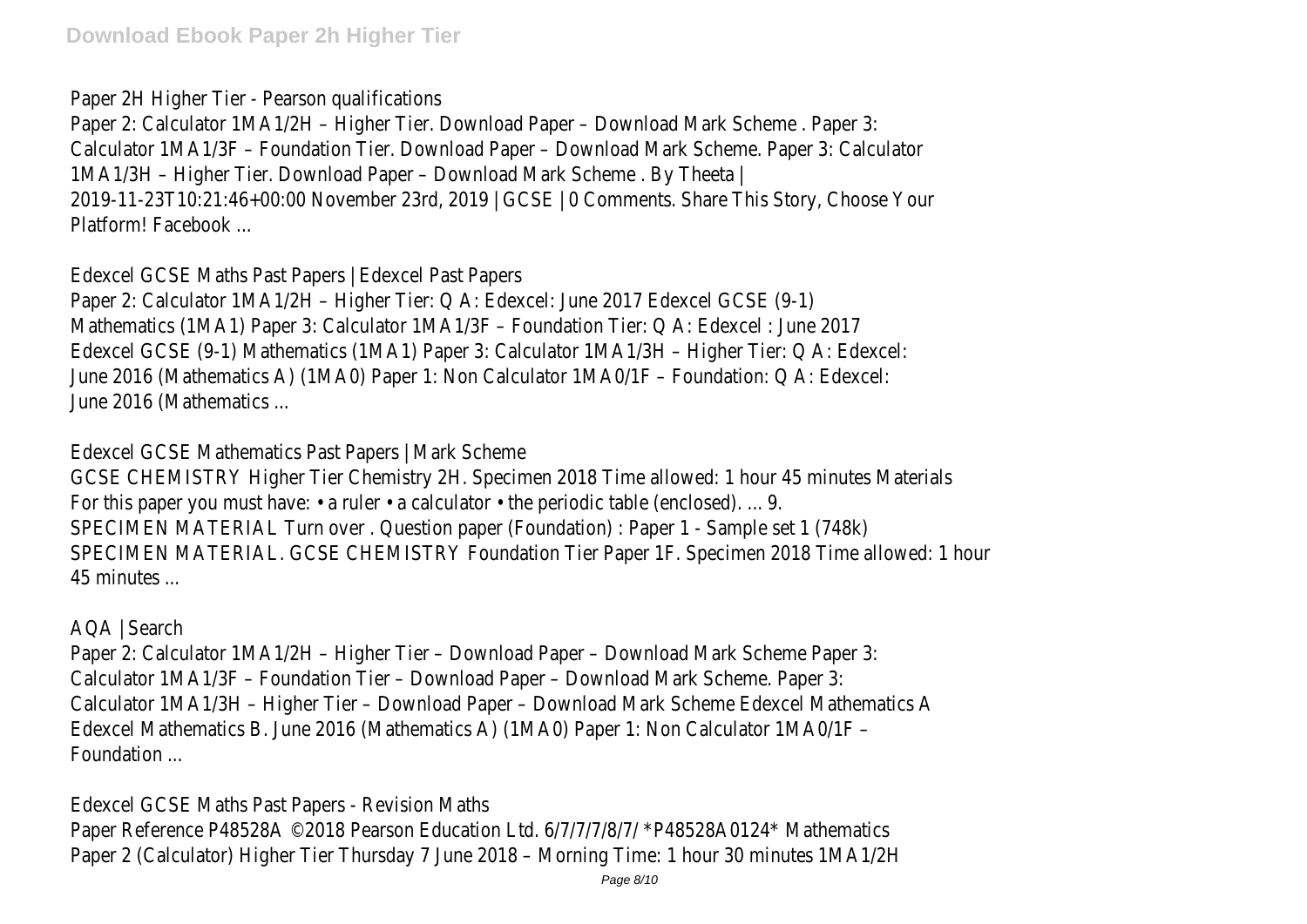Paper 2H Higher Tier - Pearson qualifications

Paper 2: Calculator 1MA1/2H – Higher Tier. Download Paper – Download Mark Scheme . Paper 3: Calculator 1MA1/3F – Foundation Tier. Download Paper – Download Mark Scheme. Paper 3: Calculator 1MA1/3H – Higher Tier. Download Paper – Download Mark Scheme . By Theeta | 2019-11-23T10:21:46+00:00 November 23rd, 2019 | GCSE | 0 Comments. Share This Story, Choose Your Platform! Facebook ...

Edexcel GCSE Maths Past Papers | Edexcel Past Papers

Paper 2: Calculator 1MA1/2H – Higher Tier: Q A: Edexcel: June 2017 Edexcel GCSE (9-1) Mathematics (1MA1) Paper 3: Calculator 1MA1/3F – Foundation Tier: Q A: Edexcel : June 2017 Edexcel GCSE (9-1) Mathematics (1MA1) Paper 3: Calculator 1MA1/3H – Higher Tier: Q A: Edexcel: June 2016 (Mathematics A) (1MA0) Paper 1: Non Calculator 1MA0/1F – Foundation: Q A: Edexcel: June 2016 (Mathematics ...

Edexcel GCSE Mathematics Past Papers | Mark Scheme

GCSE CHEMISTRY Higher Tier Chemistry 2H. Specimen 2018 Time allowed: 1 hour 45 minutes Materials For this paper you must have:  $\cdot$  a ruler  $\cdot$  a calculator  $\cdot$  the periodic table (enclosed). ... 9. SPECIMEN MATERIAL Turn over . Question paper (Foundation) : Paper 1 - Sample set 1 (748k) SPECIMEN MATERIAL. GCSE CHEMISTRY Foundation Tier Paper 1F. Specimen 2018 Time allowed: 1 hour 45 minutes ...

AQA | Search

Paper 2: Calculator 1MA1/2H – Higher Tier – Download Paper – Download Mark Scheme Paper 3: Calculator 1MA1/3F – Foundation Tier – Download Paper – Download Mark Scheme. Paper 3: Calculator 1MA1/3H – Higher Tier – Download Paper – Download Mark Scheme Edexcel Mathematics A Edexcel Mathematics B. June 2016 (Mathematics A) (1MA0) Paper 1: Non Calculator 1MA0/1F – Foundation ...

Edexcel GCSE Maths Past Papers - Revision Maths Paper Reference P48528A ©2018 Pearson Education Ltd. 6/7/7/7/8/7/ \*P48528A0124\* Mathematics Paper 2 (Calculator) Higher Tier Thursday 7 June 2018 – Morning Time: 1 hour 30 minutes 1MA1/2H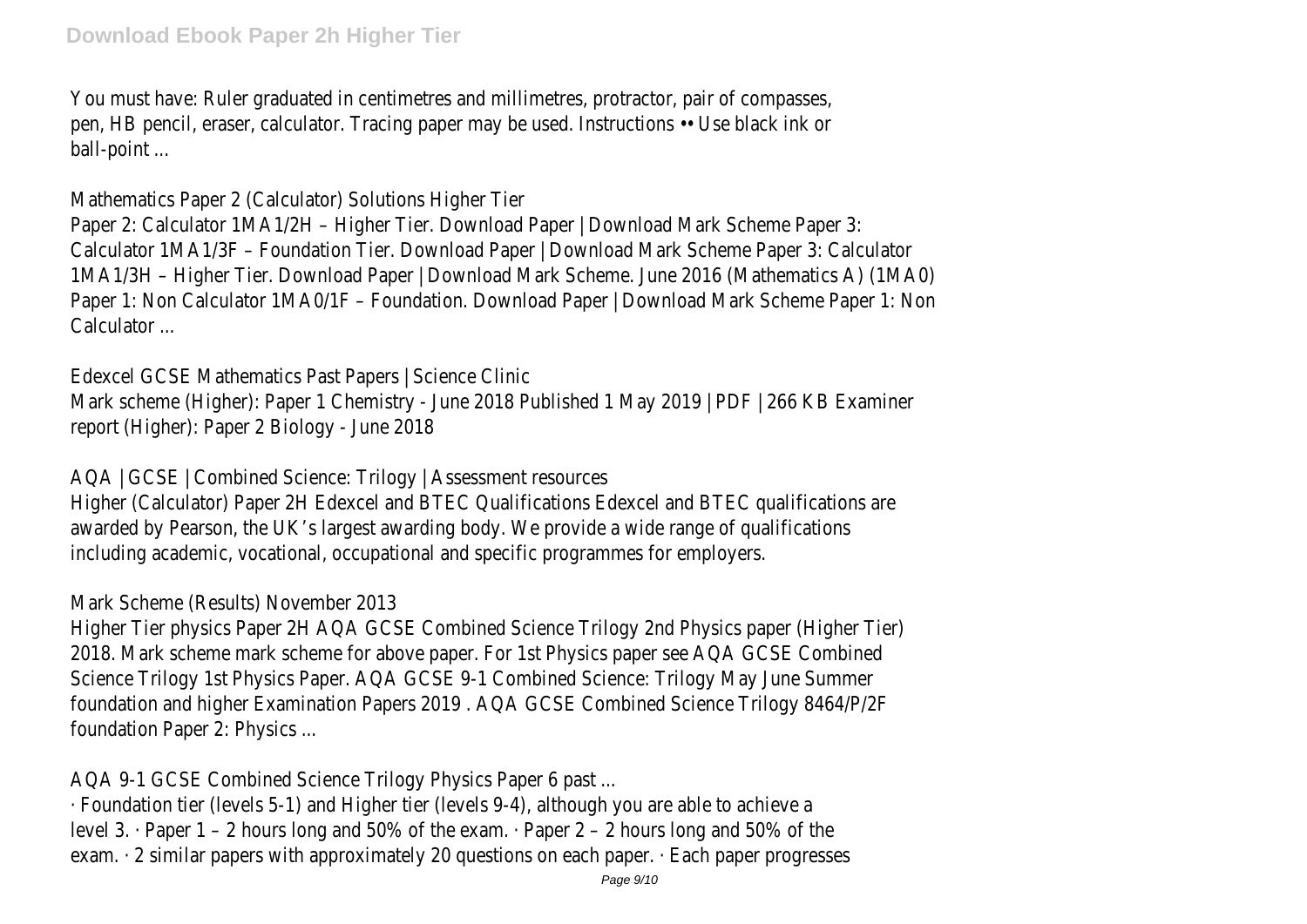You must have: Ruler graduated in centimetres and millimetres, protractor, pair of compasses, pen, HB pencil, eraser, calculator. Tracing paper may be used. Instructions •• Use black ink or ball-point ...

Mathematics Paper 2 (Calculator) Solutions Higher Tier

Paper 2: Calculator 1MA1/2H – Higher Tier. Download Paper | Download Mark Scheme Paper 3: Calculator 1MA1/3F – Foundation Tier. Download Paper | Download Mark Scheme Paper 3: Calculator 1MA1/3H – Higher Tier. Download Paper | Download Mark Scheme. June 2016 (Mathematics A) (1MA0) Paper 1: Non Calculator 1MA0/1F – Foundation. Download Paper | Download Mark Scheme Paper 1: Non Calculator ...

Edexcel GCSE Mathematics Past Papers | Science Clinic Mark scheme (Higher): Paper 1 Chemistry - June 2018 Published 1 May 2019 | PDF | 266 KB Examiner report (Higher): Paper 2 Biology - June 2018

AQA | GCSE | Combined Science: Trilogy | Assessment resources

Higher (Calculator) Paper 2H Edexcel and BTEC Qualifications Edexcel and BTEC qualifications are awarded by Pearson, the UK's largest awarding body. We provide a wide range of qualifications including academic, vocational, occupational and specific programmes for employers.

Mark Scheme (Results) November 2013

Higher Tier physics Paper 2H AQA GCSE Combined Science Trilogy 2nd Physics paper (Higher Tier) 2018. Mark scheme mark scheme for above paper. For 1st Physics paper see AQA GCSE Combined Science Trilogy 1st Physics Paper. AQA GCSE 9-1 Combined Science: Trilogy May June Summer foundation and higher Examination Papers 2019 . AQA GCSE Combined Science Trilogy 8464/P/2F foundation Paper 2: Physics ...

AQA 9-1 GCSE Combined Science Trilogy Physics Paper 6 past ...

· Foundation tier (levels 5-1) and Higher tier (levels 9-4), although you are able to achieve a level 3. · Paper 1 – 2 hours long and 50% of the exam. · Paper 2 – 2 hours long and 50% of the exam. · 2 similar papers with approximately 20 questions on each paper. · Each paper progresses